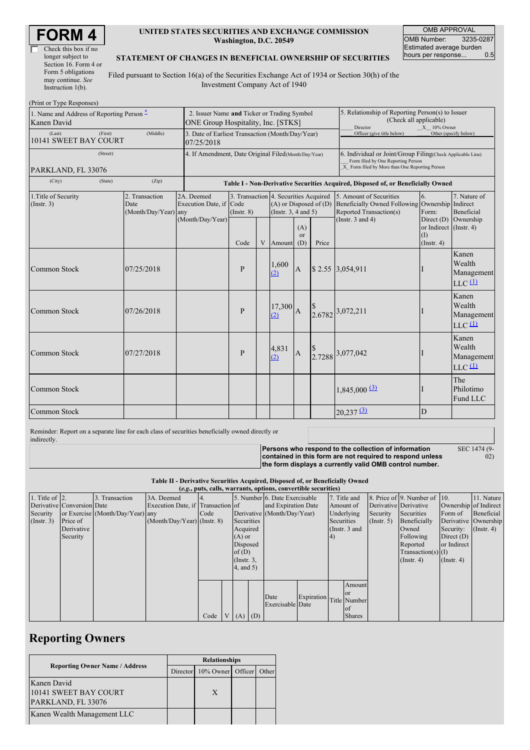| Check this box if no  |
|-----------------------|
| longer subject to     |
| Section 16. Form 4 or |
| Form 5 obligations    |
| may continue. See     |
| Instruction $1(b)$ .  |

### **UNITED STATES SECURITIES AND EXCHANGE COMMISSION Washington, D.C. 20549**

OMB APPROVAL OMB Number: 3235-0287 Estimated average burden<br>hours per response... 0.5 hours per response...

#### **STATEMENT OF CHANGES IN BENEFICIAL OWNERSHIP OF SECURITIES**

Filed pursuant to Section 16(a) of the Securities Exchange Act of 1934 or Section 30(h) of the Investment Company Act of 1940

| (Print or Type Responses)                                |                                                                                   |                                                |                                                           |                                                                                  |   |                                                                                                                                                    |                                                                                                            |       |                                                                                                                    |                                                                                        |                                                                    |
|----------------------------------------------------------|-----------------------------------------------------------------------------------|------------------------------------------------|-----------------------------------------------------------|----------------------------------------------------------------------------------|---|----------------------------------------------------------------------------------------------------------------------------------------------------|------------------------------------------------------------------------------------------------------------|-------|--------------------------------------------------------------------------------------------------------------------|----------------------------------------------------------------------------------------|--------------------------------------------------------------------|
| 1. Name and Address of Reporting Person -<br>Kanen David | 2. Issuer Name and Ticker or Trading Symbol<br>ONE Group Hospitality, Inc. [STKS] |                                                |                                                           |                                                                                  |   |                                                                                                                                                    | 5. Relationship of Reporting Person(s) to Issuer<br>(Check all applicable)<br>Director<br>$X = 10\%$ Owner |       |                                                                                                                    |                                                                                        |                                                                    |
| (Last)<br>10141 SWEET BAY COURT                          | 3. Date of Earliest Transaction (Month/Day/Year)<br>07/25/2018                    |                                                |                                                           |                                                                                  |   |                                                                                                                                                    | Officer (give title below)                                                                                 |       | Other (specify below)                                                                                              |                                                                                        |                                                                    |
| PARKLAND, FL 33076                                       | 4. If Amendment, Date Original Filed (Month/Day/Year)                             |                                                |                                                           |                                                                                  |   | 6. Individual or Joint/Group Filing(Check Applicable Line)<br>Form filed by One Reporting Person<br>X Form filed by More than One Reporting Person |                                                                                                            |       |                                                                                                                    |                                                                                        |                                                                    |
| (City)<br>(Zip)<br>(State)                               |                                                                                   |                                                |                                                           | Table I - Non-Derivative Securities Acquired, Disposed of, or Beneficially Owned |   |                                                                                                                                                    |                                                                                                            |       |                                                                                                                    |                                                                                        |                                                                    |
| 1. Title of Security<br>(Insert. 3)                      |                                                                                   | 2. Transaction<br>Date<br>(Month/Day/Year) any | 2A. Deemed<br>Execution Date, if Code<br>(Month/Day/Year) | 3. Transaction 4. Securities Acquired<br>$($ Instr. $8)$<br>Code                 | V | $(A)$ or Disposed of $(D)$<br>(Instr. $3, 4$ and $5$ )<br>Amount                                                                                   | (A)<br><sub>or</sub><br>(D)                                                                                | Price | 5. Amount of Securities<br><b>Beneficially Owned Following</b><br>Reported Transaction(s)<br>(Instr. $3$ and $4$ ) | 6.<br>Ownership Indirect<br>Form:<br>or Indirect (Instr. 4)<br>(1)<br>$($ Instr. 4 $)$ | 7. Nature of<br><b>Beneficial</b><br>Direct $(D)$ Ownership        |
| Common Stock                                             |                                                                                   | 07/25/2018                                     |                                                           | $\mathbf{P}$                                                                     |   | 1,600<br>(2)                                                                                                                                       | $\mathbf{A}$                                                                                               |       | \$2.55 3,054,911                                                                                                   |                                                                                        | Kanen<br>Wealth<br>Management<br>$LLC$ <sup><math>(1)</math></sup> |
| Common Stock                                             |                                                                                   | 07/26/2018                                     |                                                           | $\mathbf{P}$                                                                     |   | 17,300<br>(2)                                                                                                                                      | $\overline{A}$                                                                                             |       | $\begin{array}{c c} 8 & 3,072,211 \\ 2.6782 & & \end{array}$                                                       |                                                                                        | Kanen<br>Wealth<br>Management<br>$LLC$ <sup><math>(1)</math></sup> |
| <b>Common Stock</b>                                      |                                                                                   | 07/27/2018                                     |                                                           | P                                                                                |   | 4,831<br>(2)                                                                                                                                       | $\boldsymbol{A}$                                                                                           |       | $\begin{array}{c c} $ & 3,077,042 \end{array}$                                                                     |                                                                                        | Kanen<br>Wealth<br>Management<br>$LLC$ <sup><math>(1)</math></sup> |
| Common Stock                                             |                                                                                   |                                                |                                                           |                                                                                  |   |                                                                                                                                                    |                                                                                                            |       | $1,845,000$ $\underline{^{(3)}}$                                                                                   |                                                                                        | The<br>Philotimo<br>Fund LLC                                       |
| <b>Common Stock</b>                                      |                                                                                   |                                                |                                                           |                                                                                  |   |                                                                                                                                                    |                                                                                                            |       | $20,237$ <sup>(3)</sup>                                                                                            | D                                                                                      |                                                                    |

Reminder: Report on a separate line for each class of securities beneficially owned directly or indirectly.

**Persons who respond to the collection of information**

SEC 1474 (9- 02)

**contained in this form are not required to respond unless the form displays a currently valid OMB control number.**

**Table II - Derivative Securities Acquired, Disposed of, or Beneficially Owned**

| (e.g., puts, calls, warrants, options, convertible securities) |                            |                                  |                                   |      |  |                 |                             |                                |           |                 |               |                       |                              |                      |               |
|----------------------------------------------------------------|----------------------------|----------------------------------|-----------------------------------|------|--|-----------------|-----------------------------|--------------------------------|-----------|-----------------|---------------|-----------------------|------------------------------|----------------------|---------------|
| 1. Title of $\vert$ 2.                                         |                            | 3. Transaction                   | 3A. Deemed                        |      |  |                 |                             | 5. Number 6. Date Exercisable  |           |                 | 7. Title and  |                       | 8. Price of 9. Number of 10. |                      | 11. Nature    |
|                                                                | Derivative Conversion Date |                                  | Execution Date, if Transaction of |      |  |                 | and Expiration Date         |                                | Amount of |                 |               | Derivative Derivative | Ownership of Indirect        |                      |               |
| Security                                                       |                            | or Exercise (Month/Day/Year) any |                                   | Code |  |                 | Derivative (Month/Day/Year) |                                |           | Underlying      | Security      | Securities            | Form of                      | Beneficial           |               |
| (Insert. 3)                                                    | Price of                   |                                  | $(Month/Day/Year)$ (Instr. 8)     |      |  | Securities      |                             |                                |           |                 | Securities    | $($ Instr. 5)         | Beneficially                 | Derivative Ownership |               |
|                                                                | Derivative                 |                                  |                                   |      |  | Acquired        |                             |                                |           | (Instr. $3$ and |               |                       | Owned                        | Security:            | $($ Instr. 4) |
|                                                                | Security                   |                                  |                                   |      |  | $(A)$ or        |                             |                                |           | 4)              |               |                       | Following                    | Direct $(D)$         |               |
|                                                                |                            |                                  |                                   |      |  | Disposed        |                             |                                |           |                 |               |                       | Reported                     | or Indirect          |               |
|                                                                |                            |                                  |                                   |      |  | of $(D)$        |                             |                                |           |                 |               |                       | $Transaction(s)$ (I)         |                      |               |
|                                                                |                            |                                  |                                   |      |  | $($ Instr. $3,$ |                             |                                |           |                 |               |                       | $($ Instr. 4 $)$             | (Insert 4)           |               |
|                                                                |                            |                                  |                                   |      |  | $4$ , and $5$ ) |                             |                                |           |                 |               |                       |                              |                      |               |
|                                                                |                            |                                  |                                   |      |  |                 |                             |                                |           |                 |               |                       |                              |                      |               |
|                                                                |                            |                                  |                                   |      |  |                 |                             |                                |           |                 | Amount        |                       |                              |                      |               |
|                                                                |                            |                                  |                                   |      |  |                 |                             | Date                           |           |                 | <sub>or</sub> |                       |                              |                      |               |
|                                                                |                            |                                  |                                   |      |  |                 |                             | Expiration<br>Exercisable Date |           | Title Number    |               |                       |                              |                      |               |
|                                                                |                            |                                  |                                   |      |  |                 |                             |                                |           |                 | of            |                       |                              |                      |               |
|                                                                |                            |                                  |                                   | Code |  | $V(A)$ (D)      |                             |                                |           |                 | <b>Shares</b> |                       |                              |                      |               |

## **Reporting Owners**

|                                                            | <b>Relationships</b> |                            |  |       |  |  |
|------------------------------------------------------------|----------------------|----------------------------|--|-------|--|--|
| <b>Reporting Owner Name / Address</b>                      |                      | Director 10% Owner Officer |  | Other |  |  |
| Kanen David<br>10141 SWEET BAY COURT<br>PARKLAND, FL 33076 |                      | X                          |  |       |  |  |
| Kanen Wealth Management LLC                                |                      |                            |  |       |  |  |